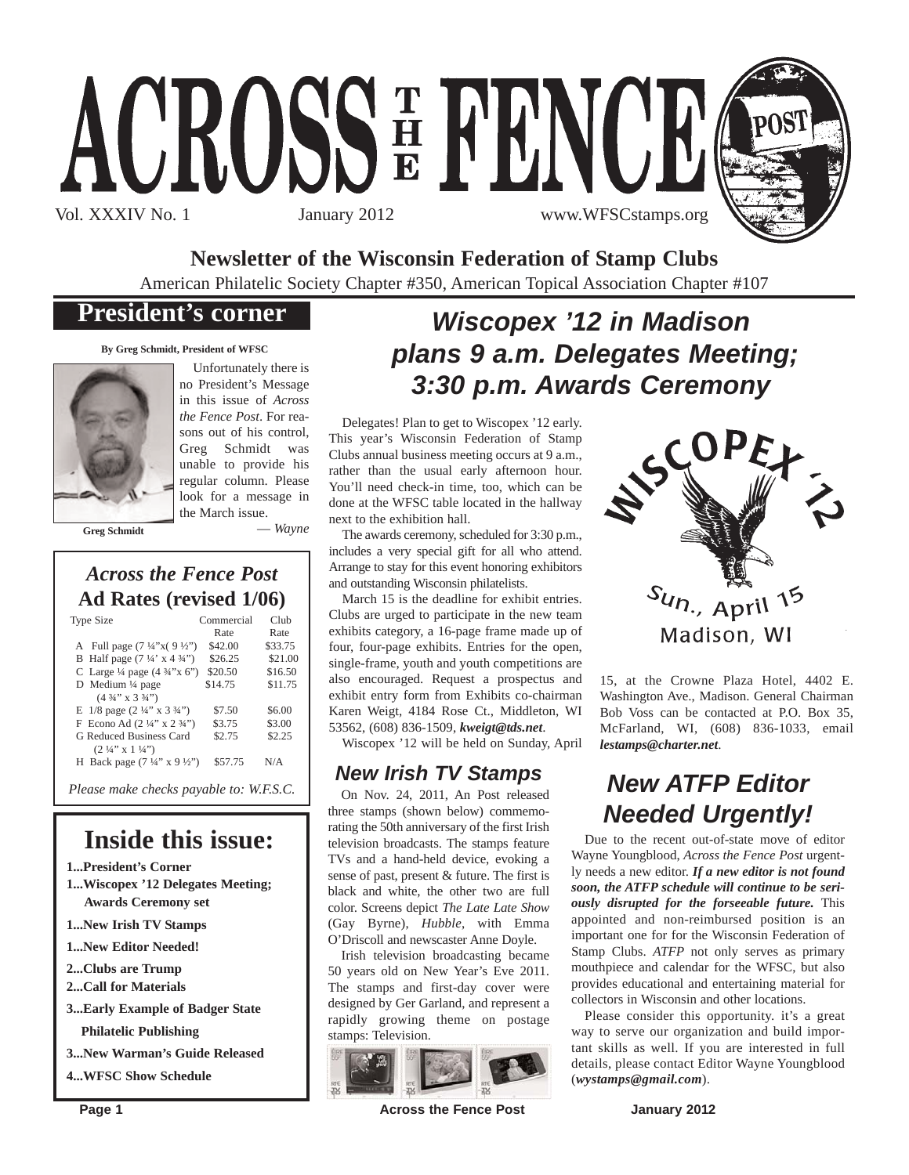# ACROSSE FENCE Vol. XXXIV No. 1 January 2012 www.WFSCstamps.org



**Newsletter of the Wisconsin Federation of Stamp Clubs**

American Philatelic Society Chapter #350, American Topical Association Chapter #107

## **President's corner**

**By Greg Schmidt, President of WFSC**



Unfortunately there is no President's Message in this issue of *Across the Fence Post*. For reasons out of his control, Greg Schmidt was unable to provide his regular column. Please look for a message in the March issue.

**Greg Schmidt**

— *Wayne*

## *Across the Fence Post* **Ad Rates (revised 1/06)**

| Type Size                                                                                                                                                                                                            | Commercial<br>Rate                       | Club<br>Rate                             | Clubs are urged to participate in the nev<br>exhibits category, a 16-page frame made                                                                                    |
|----------------------------------------------------------------------------------------------------------------------------------------------------------------------------------------------------------------------|------------------------------------------|------------------------------------------|-------------------------------------------------------------------------------------------------------------------------------------------------------------------------|
| A Full page $(7\frac{1}{4}x)(9\frac{1}{2}y)$<br>B Half page $(7\frac{1}{4} \times 4\frac{3}{4})$<br>C Large $\frac{1}{4}$ page $(4 \frac{3}{4}$ "x 6")<br>D Medium 1/4 page<br>$(4\frac{3}{4}$ " x $3\frac{3}{4}$ ") | \$42.00<br>\$26.25<br>\$20.50<br>\$14.75 | \$33.75<br>\$21.00<br>\$16.50<br>\$11.75 | four, four-page exhibits. Entries for the<br>single-frame, youth and youth competition<br>also encouraged. Request a prospect<br>exhibit entry form from Exhibits co-ch |
| E $1/8$ page $(2\frac{1}{4}$ " x $3\frac{3}{4}$ ")<br>F Econo Ad $(2\frac{1}{4}$ " x $2\frac{3}{4}$ ")<br>G Reduced Business Card<br>$(2\frac{1}{4}$ " x $1\frac{1}{4}$ ")                                           | \$7.50<br>\$3.75<br>\$2.75               | \$6.00<br>\$3.00<br>\$2.25               | Karen Weigt, 4184 Rose Ct., Middleto<br>53562, (608) 836-1509, kweigt@tds.net.<br>Wiscopex '12 will be held on Sunday                                                   |
| H Back page $(7\frac{1}{4}$ " x 9 $\frac{1}{2}$ ")                                                                                                                                                                   | \$57.75                                  | N/A                                      | <b>New Irish TV Stamps</b>                                                                                                                                              |
| Please make checks payable to: W.F.S.C.                                                                                                                                                                              |                                          |                                          | $On Now 24-2011$ An Post released                                                                                                                                       |

## **Inside this issue:**

- **1...President's Corner**
- **1...Wiscopex '12 Delegates Meeting; Awards Ceremony set**
- **1...New Irish TV Stamps**
- **1...New Editor Needed!**
- **2...Clubs are Trump**
- **2...Call for Materials**
- **3...Early Example of Badger State Philatelic Publishing**
- **3...New Warman's Guide Released**
- **4...WFSC Show Schedule**

## *Wiscopex '12 in Madison plans 9 a.m. Delegates Meeting; 3:30 p.m. Awards Ceremony*

Delegates! Plan to get to Wiscopex '12 early. This year's Wisconsin Federation of Stamp Clubs annual business meeting occurs at 9 a.m., rather than the usual early afternoon hour. You'll need check-in time, too, which can be done at the WFSC table located in the hallway next to the exhibition hall.

The awards ceremony, scheduled for 3:30 p.m., includes a very special gift for all who attend. Arrange to stay for this event honoring exhibitors and outstanding Wisconsin philatelists.

March 15 is the deadline for exhibit entries. Clubs are urged to participate in the new team exhibits category, a 16-page frame made up of four, four-page exhibits. Entries for the open, single-frame, youth and youth competitions are also encouraged. Request a prospectus and exhibit entry form from Exhibits co-chairman Karen Weigt, 4184 Rose Ct., Middleton, WI 53562, (608) 836-1509, *kweigt@tds.net*.

Wiscopex '12 will be held on Sunday, April

On Nov. 24, 2011, An Post released three stamps (shown below) commemorating the 50th anniversary of the first Irish television broadcasts. The stamps feature TVs and a hand-held device, evoking a sense of past, present & future. The first is black and white, the other two are full color. Screens depict *The Late Late Show* (Gay Byrne), *Hubble*, with Emma O'Driscoll and newscaster Anne Doyle.

Irish television broadcasting became 50 years old on New Year's Eve 2011. The stamps and first-day cover were designed by Ger Garland, and represent a rapidly growing theme on postage stamps: Television.



**Page 1 Across the Fence Post Across the Fence Post January 2012** 



15, at the Crowne Plaza Hotel, 4402 E. Washington Ave., Madison. General Chairman Bob Voss can be contacted at P.O. Box 35, McFarland, WI, (608) 836-1033, email *lestamps@charter.net*.

## *New ATFP Editor Needed Urgently!*

Due to the recent out-of-state move of editor Wayne Youngblood, *Across the Fence Post* urgently needs a new editor. *If a new editor is not found soon, the ATFP schedule will continue to be seriously disrupted for the forseeable future.* This appointed and non-reimbursed position is an important one for for the Wisconsin Federation of Stamp Clubs. *ATFP* not only serves as primary mouthpiece and calendar for the WFSC, but also provides educational and entertaining material for collectors in Wisconsin and other locations.

Please consider this opportunity. it's a great way to serve our organization and build important skills as well. If you are interested in full details, please contact Editor Wayne Youngblood (*wystamps@gmail.com*).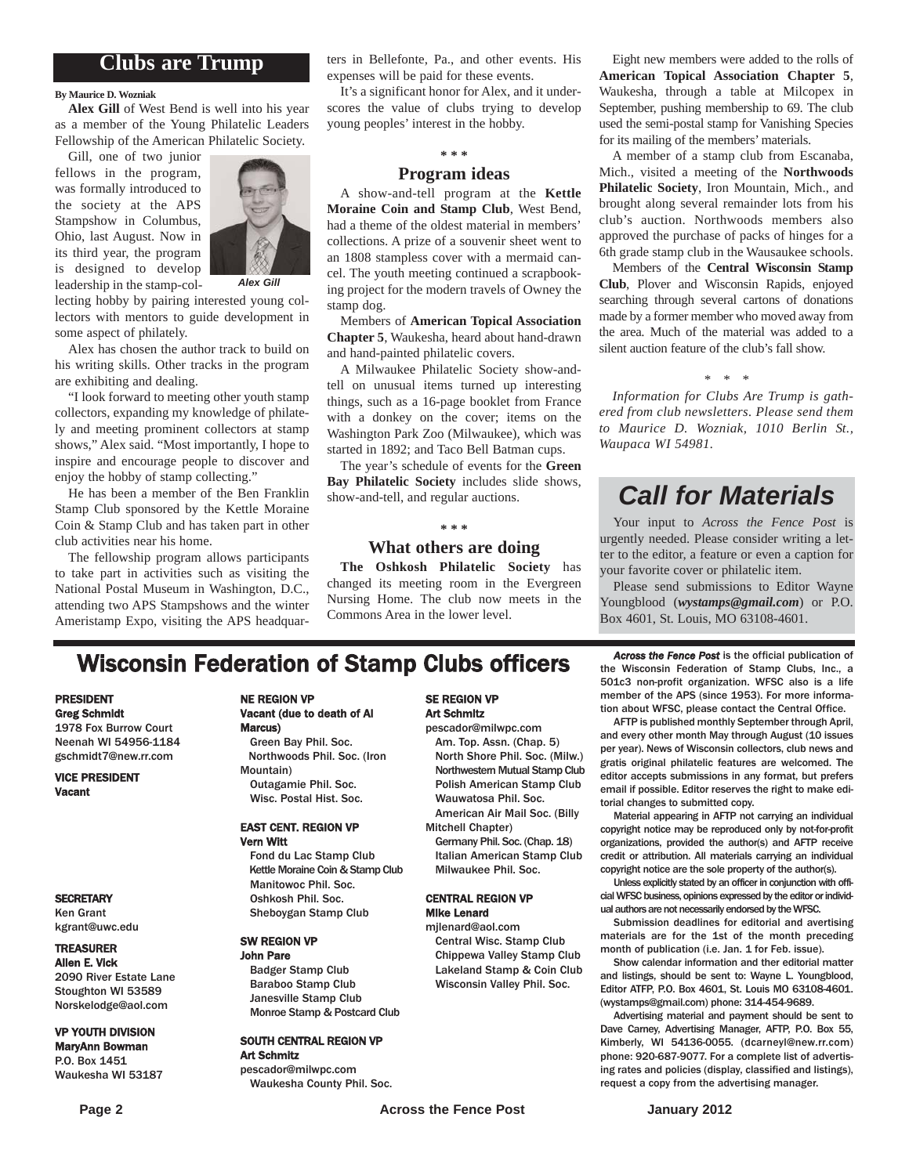## **Clubs are Trump**

#### **By Maurice D. Wozniak**

**Alex Gill** of West Bend is well into his year as a member of the Young Philatelic Leaders Fellowship of the American Philatelic Society.

Gill, one of two junior fellows in the program, was formally introduced to the society at the APS Stampshow in Columbus, Ohio, last August. Now in its third year, the program is designed to develop leadership in the stamp-col-



*Alex Gill*

lecting hobby by pairing interested young collectors with mentors to guide development in some aspect of philately.

Alex has chosen the author track to build on his writing skills. Other tracks in the program are exhibiting and dealing.

"I look forward to meeting other youth stamp collectors, expanding my knowledge of philately and meeting prominent collectors at stamp shows," Alex said. "Most importantly, I hope to inspire and encourage people to discover and enjoy the hobby of stamp collecting."

He has been a member of the Ben Franklin Stamp Club sponsored by the Kettle Moraine Coin & Stamp Club and has taken part in other club activities near his home.

The fellowship program allows participants to take part in activities such as visiting the National Postal Museum in Washington, D.C., attending two APS Stampshows and the winter Ameristamp Expo, visiting the APS headquarters in Bellefonte, Pa., and other events. His expenses will be paid for these events.

It's a significant honor for Alex, and it underscores the value of clubs trying to develop young peoples' interest in the hobby.

#### **\* \* \***

#### **Program ideas**

A show-and-tell program at the **Kettle Moraine Coin and Stamp Club**, West Bend, had a theme of the oldest material in members' collections. A prize of a souvenir sheet went to an 1808 stampless cover with a mermaid cancel. The youth meeting continued a scrapbooking project for the modern travels of Owney the stamp dog.

Members of **American Topical Association Chapter 5**, Waukesha, heard about hand-drawn and hand-painted philatelic covers.

A Milwaukee Philatelic Society show-andtell on unusual items turned up interesting things, such as a 16-page booklet from France with a donkey on the cover; items on the Washington Park Zoo (Milwaukee), which was started in 1892; and Taco Bell Batman cups.

The year's schedule of events for the **Green Bay Philatelic Society** includes slide shows, show-and-tell, and regular auctions.

#### **\* \* \***

### **What others are doing**

**The Oshkosh Philatelic Society** has changed its meeting room in the Evergreen Nursing Home. The club now meets in the Commons Area in the lower level.

Eight new members were added to the rolls of **American Topical Association Chapter 5**, Waukesha, through a table at Milcopex in September, pushing membership to 69. The club used the semi-postal stamp for Vanishing Species for its mailing of the members' materials.

A member of a stamp club from Escanaba, Mich., visited a meeting of the **Northwoods Philatelic Society**, Iron Mountain, Mich., and brought along several remainder lots from his club's auction. Northwoods members also approved the purchase of packs of hinges for a 6th grade stamp club in the Wausaukee schools.

Members of the **Central Wisconsin Stamp Club**, Plover and Wisconsin Rapids, enjoyed searching through several cartons of donations made by a former member who moved away from the area. Much of the material was added to a silent auction feature of the club's fall show.

#### *\* \* \**

*Information for Clubs Are Trump is gathered from club newsletters. Please send them to Maurice D. Wozniak, 1010 Berlin St., Waupaca WI 54981.*

## *Call for Materials*

Your input to *Across the Fence Post* is urgently needed. Please consider writing a letter to the editor, a feature or even a caption for your favorite cover or philatelic item.

Please send submissions to Editor Wayne Youngblood (*wystamps@gmail.com*) or P.O. Box 4601, St. Louis, MO 63108-4601.

## **Wisconsin Federation of Stamp Clubs officers** *Across the Fence Post* is the official publication of stamp Clubs, Inc., a

#### PRESIDENT Greg Schmidt

1978 Fox Burrow Court Neenah WI 54956-1184 gschmidt7@new.rr.com

VICE PRESIDENT Vacant

#### **SECRETARY**

Ken Grant kgrant@uwc.edu

#### TREASURER

Allen E. Vick 2090 River Estate Lane Stoughton WI 53589 Norskelodge@aol.com

#### VP YOUTH DIVISION MaryAnn Bowman

P.O. Box 1451 Waukesha WI 53187

#### NE REGION VP Vacant (due to death of Al Marcus) Green Bay Phil. Soc.

Northwoods Phil. Soc. (Iron Mountain) Outagamie Phil. Soc. Wisc. Postal Hist. Soc.

#### EAST CENT. REGION VP Vern Witt

Fond du Lac Stamp Club Kettle Moraine Coin & Stamp Club Manitowoc Phil. Soc. Oshkosh Phil. Soc. Sheboygan Stamp Club

#### SW REGION VP John Pare

Badger Stamp Club Baraboo Stamp Club Janesville Stamp Club Monroe Stamp & Postcard Club

#### SOUTH CENTRAL REGION VP Art Schmitz

pescador@milwpc.com Waukesha County Phil. Soc.

#### SE REGION VP Art Schmitz

pescador@milwpc.com Am. Top. Assn. (Chap. 5) North Shore Phil. Soc. (Milw.) Northwestern Mutual Stamp Club Polish American Stamp Club Wauwatosa Phil. Soc. American Air Mail Soc. (Billy

Mitchell Chapter)

Germany Phil. Soc. (Chap. 18) Italian American Stamp Club Milwaukee Phil. Soc.

#### CENTRAL REGION VP Mike Lenard

mjlenard@aol.com Central Wisc. Stamp Club Chippewa Valley Stamp Club Lakeland Stamp & Coin Club Wisconsin Valley Phil. Soc.

the Wisconsin Federation of Stamp Clubs, Inc., a 501c3 non-profit organization. WFSC also is a life member of the APS (since 1953). For more information about WFSC, please contact the Central Office.

AFTP is published monthly September through April, and every other month May through August (10 issues per year). News of Wisconsin collectors, club news and gratis original philatelic features are welcomed. The editor accepts submissions in any format, but prefers email if possible. Editor reserves the right to make editorial changes to submitted copy.

Material appearing in AFTP not carrying an individual copyright notice may be reproduced only by not-for-profit organizations, provided the author(s) and AFTP receive credit or attribution. All materials carrying an individual copyright notice are the sole property of the author(s).

Unless explicitly stated by an officer in conjunction with official WFSC business, opinions expressed by the editor or individual authors are not necessarily endorsed by the WFSC.

Submission deadlines for editorial and avertising materials are for the 1st of the month preceding month of publication (i.e. Jan. 1 for Feb. issue).

Show calendar information and ther editorial matter and listings, should be sent to: Wayne L. Youngblood, Editor ATFP, P.O. Box 4601, St. Louis MO 63108-4601. (wystamps@gmail.com) phone: 314-454-9689.

Advertising material and payment should be sent to Dave Carney, Advertising Manager, AFTP, P.O. Box 55, Kimberly, WI 54136-0055. (dcarneyl@new.rr.com) phone: 920-687-9077. For a complete list of advertising rates and policies (display, classified and listings), request a copy from the advertising manager.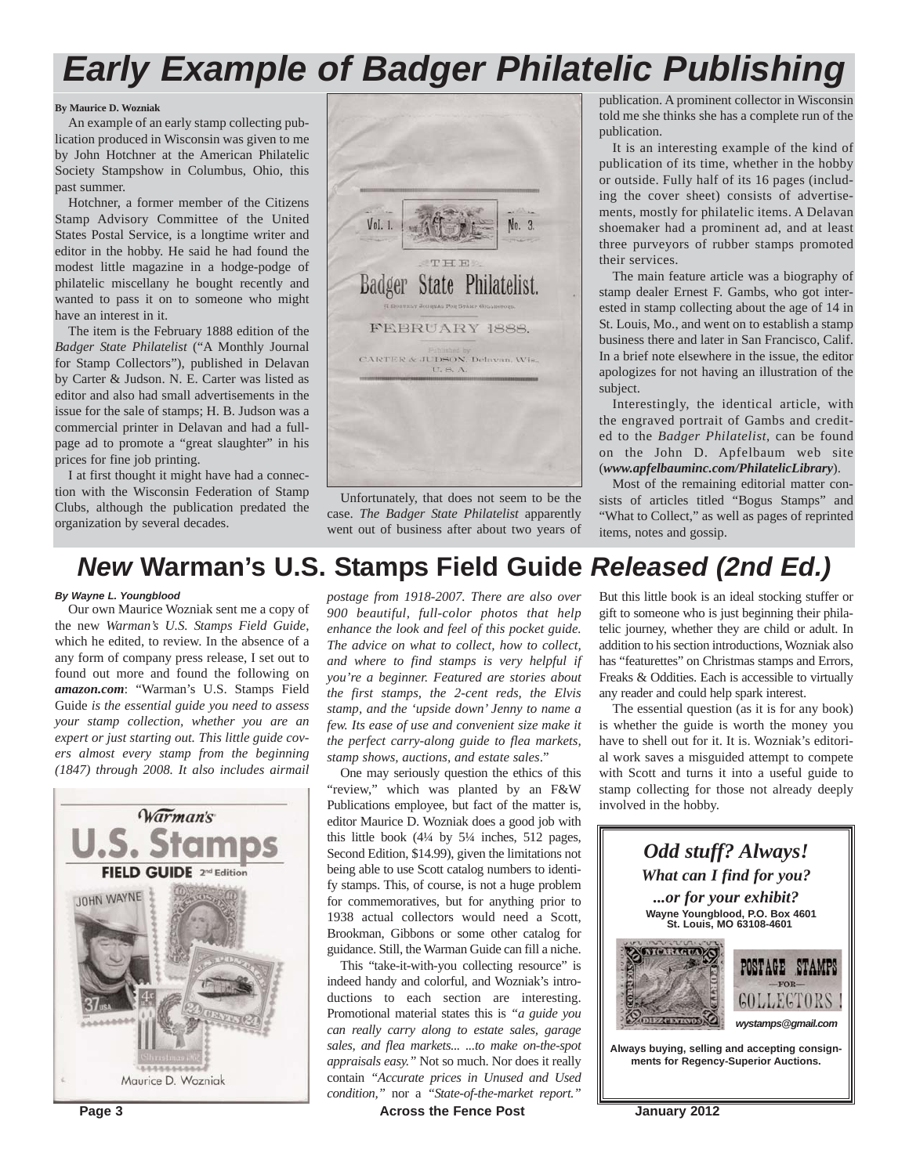## *Early Example of Badger Philatelic Publishing*

#### **By Maurice D. Wozniak**

An example of an early stamp collecting publication produced in Wisconsin was given to me by John Hotchner at the American Philatelic Society Stampshow in Columbus, Ohio, this past summer.

Hotchner, a former member of the Citizens Stamp Advisory Committee of the United States Postal Service, is a longtime writer and editor in the hobby. He said he had found the modest little magazine in a hodge-podge of philatelic miscellany he bought recently and wanted to pass it on to someone who might have an interest in it.

The item is the February 1888 edition of the *Badger State Philatelist* ("A Monthly Journal for Stamp Collectors"), published in Delavan by Carter & Judson. N. E. Carter was listed as editor and also had small advertisements in the issue for the sale of stamps; H. B. Judson was a commercial printer in Delavan and had a fullpage ad to promote a "great slaughter" in his prices for fine job printing.

I at first thought it might have had a connection with the Wisconsin Federation of Stamp Clubs, although the publication predated the organization by several decades.



Unfortunately, that does not seem to be the case. *The Badger State Philatelist* apparently went out of business after about two years of publication. A prominent collector in Wisconsin told me she thinks she has a complete run of the publication.

It is an interesting example of the kind of publication of its time, whether in the hobby or outside. Fully half of its 16 pages (including the cover sheet) consists of advertisements, mostly for philatelic items. A Delavan shoemaker had a prominent ad, and at least three purveyors of rubber stamps promoted their services.

The main feature article was a biography of stamp dealer Ernest F. Gambs, who got interested in stamp collecting about the age of 14 in St. Louis, Mo., and went on to establish a stamp business there and later in San Francisco, Calif. In a brief note elsewhere in the issue, the editor apologizes for not having an illustration of the subject.

Interestingly, the identical article, with the engraved portrait of Gambs and credited to the *Badger Philatelist*, can be found on the John D. Apfelbaum web site (*www.apfelbauminc.com/PhilatelicLibrary*).

Most of the remaining editorial matter consists of articles titled "Bogus Stamps" and "What to Collect," as well as pages of reprinted items, notes and gossip.

## *New* **Warman's U.S. Stamps Field Guide** *Released (2nd Ed.)*

#### *By Wayne L. Youngblood*

Our own Maurice Wozniak sent me a copy of the new *Warman's U.S. Stamps Field Guide*, which he edited, to review. In the absence of a any form of company press release, I set out to found out more and found the following on *amazon.com*: "Warman's U.S. Stamps Field Guide *is the essential guide you need to assess your stamp collection, whether you are an expert or just starting out. This little guide covers almost every stamp from the beginning (1847) through 2008. It also includes airmail*



*postage from 1918-2007. There are also over 900 beautiful, full-color photos that help enhance the look and feel of this pocket guide. The advice on what to collect, how to collect, and where to find stamps is very helpful if you're a beginner. Featured are stories about the first stamps, the 2-cent reds, the Elvis stamp, and the 'upside down' Jenny to name a few. Its ease of use and convenient size make it the perfect carry-along guide to flea markets, stamp shows, auctions, and estate sales*."

One may seriously question the ethics of this "review," which was planted by an F&W Publications employee, but fact of the matter is, editor Maurice D. Wozniak does a good job with this little book  $(4\frac{1}{4}$  by  $5\frac{1}{4}$  inches, 512 pages, Second Edition, \$14.99), given the limitations not being able to use Scott catalog numbers to identify stamps. This, of course, is not a huge problem for commemoratives, but for anything prior to 1938 actual collectors would need a Scott, Brookman, Gibbons or some other catalog for guidance. Still, the Warman Guide can fill a niche.

This "take-it-with-you collecting resource" is indeed handy and colorful, and Wozniak's introductions to each section are interesting. Promotional material states this is *"a guide you can really carry along to estate sales, garage sales, and flea markets... ...to make on-the-spot appraisals easy."* Not so much. Nor does it really contain *"Accurate prices in Unused and Used condition,"* nor a *"State-of-the-market report."*

But this little book is an ideal stocking stuffer or gift to someone who is just beginning their philatelic journey, whether they are child or adult. In addition to his section introductions, Wozniak also has "featurettes" on Christmas stamps and Errors, Freaks & Oddities. Each is accessible to virtually any reader and could help spark interest.

The essential question (as it is for any book) is whether the guide is worth the money you have to shell out for it. It is. Wozniak's editorial work saves a misguided attempt to compete with Scott and turns it into a useful guide to stamp collecting for those not already deeply involved in the hobby.